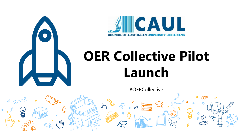



# **OER Collective Pilot Launch**

#OERCollective

 $\blacksquare$ 

 $\frac{1}{\cdots}$ 

淡

Jm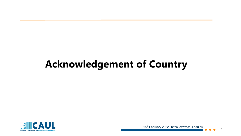### **Acknowledgement of Country**

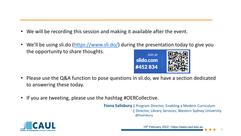- We will be recording this session and making it available after the event.
- We'll be using sli.do [\(https://www.sli.do/](https://www.sli.do/)) during the presentation today to give you the opportunity to share thoughts.



- Please use the Q&A function to pose questions in sli.do, we have a section dedicated to answering these today.
- If you are tweeting, please use the hashtag #OERCollective.

**Fiona Salisbury | Program Director, Enabling a Modern Curriculum |** Director, Library Services, Western Sydney University @fisalisbury

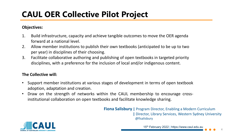### **CAUL OER Collective Pilot Project**

#### **Objectives:**

- 1. Build infrastructure, capacity and achieve tangible outcomes to move the OER agenda forward at a national level.
- 2. Allow member institutions to publish their own textbooks (anticipated to be up to two per year) in disciplines of their choosing.
- 3. Facilitate collaborative authoring and publishing of open textbooks in targeted priority disciplines, with a preference for the inclusion of local and/or indigenous content.

#### **The Collective will:**

- Support member institutions at various stages of development in terms of open textbook adoption, adaptation and creation.
- Draw on the strength of networks within the CAUL membership to encourage crossinstitutional collaboration on open textbooks and facilitate knowledge sharing.

**Fiona Salisbury |** Program Director, Enabling a Modern Curriculum **|** Director, Library Services, Western Sydney University @fisalisbury



15th February 2022 | https://www.caul.edu.au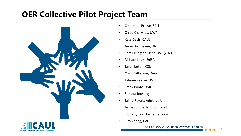### **OER Collective Pilot Project Team**



- Cintamani Brown, SCU
- Chloe Czerwiec, UWA
- Kate Davis, CAUL
- Anna Du Chesne, UNE
- Sam Elkington-Dent, USC (2021)
- Richard Levy, UniSA
- Jane Norton, CSU
- Craig Patterson, Deakin
- Tahnee Pearse, USQ
- Frank Ponte, RMIT
- Samara Rowling
- Jaime Royals, Adelaide Uni
- Ashley Sutherland, Uni Melb
- Fiona Tyson, Uni Canterbury
- Cicy Zheng, CAUL



15<sup>th</sup> February 2022 | https://www.caul.edu.au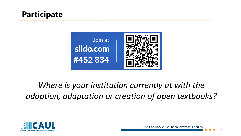#### **Participate**



### *Where is your institution currently at with the adoption, adaptation or creation of open textbooks?*

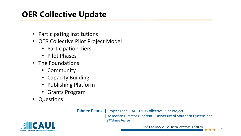### **OER Collective Update**

- Participating Institutions
- OER Collective Pilot Project Model
	- Participation Tiers
	- Pilot Phases
- The Foundations
	- Community
	- Capacity Building
	- Publishing Platform
	- Grants Program
- Questions

**Tahnee Pearse |** Project Lead, CAUL OER Collective Pilot Project

**|** Associate Director (Content), University of Southern Queensland @TahneePearse



15th February 2022 | https://www.caul.edu.au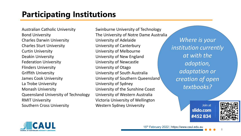### **Participating Institutions**

Australian Catholic University Bond University Charles Darwin University Charles Sturt University Curtin University Deakin University Federation University Flinders University Griffith University James Cook University La Trobe University Monash University Queensland University of Technology RMIT University Southern Cross University

Swinburne University of Technology The University of Notre Dame Australia University of Adelaide University of Canterbury University of Melbourne University of New England University of Newcastle University of Otago University of South Australia University of Southern Queensland University of Sydney University of the Sunshine Coast University of Western Australia Victoria University of Wellington Western Sydney University

*Where is your institution currently at with the adoption, adaptation or creation of open textbooks?* 

> Join at slido.com #452834



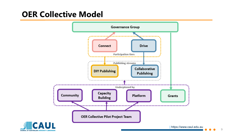#### **OER Collective Model**

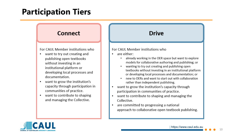#### **Participation Tiers**

#### **Connect**

For CAUL Member institutions who

- want to try out creating and publishing open textbooks without investing in an institutional platform or developing local processes and documentation.
- want to grow the institution's ٠ capacity through participation in communities of practice.
- want to contribute to shaping  $\bullet$ and managing the Collective.

#### **Drive**

#### For CAUL Member institutions who

- $\cdot$  are either:
	- already working in the OER space but want to explore models for collaborative authoring and publishing; or
	- wanting to try out creating and publishing open textbooks without investing in an institutional platform or developing local processes and documentation; or
	- new to OERs and want to start out with collaboration rather than independent publishing.
- want to grow the institution's capacity through participation in communities of practice.
- want to contribute to shaping and managing the Collective.
- are committed to progressing a national approach to collaborative open textbook publishing.

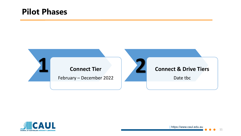#### **Pilot Phases**





| https://www.caul.edu.au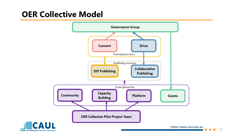#### **OER Collective Model**

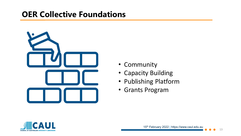#### **OER Collective Foundations**



- Community
- Capacity Building
- Publishing Platform
- Grants Program

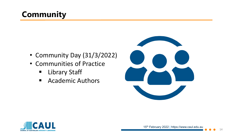### **Community**

- Community Day (31/3/2022)
- Communities of Practice
	- **E** Library Staff
	- Academic Authors



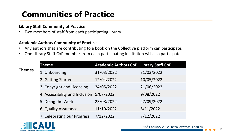### **Communities of Practice**

#### **Library Staff Community of Practice**

• Two members of staff from each participating library.

#### **Academic Authors Community of Practice**

- Any authors that are contributing to a book on the Collective platform can participate.
- One Library Staff CoP member from each participating institution will also participate.

|               | Theme                          | Academic Authors CoP Library Staff CoP |            |
|---------------|--------------------------------|----------------------------------------|------------|
| <b>Themes</b> | 1. Onboarding                  | 31/03/2022                             | 31/03/2022 |
|               | 2. Getting Started             | 12/04/2022                             | 10/05/2022 |
|               | 3. Copyright and Licensing     | 24/05/2022                             | 21/06/2022 |
|               | 4. Accessibility and Inclusion | 5/07/2022                              | 9/08/2022  |
|               | 5. Doing the Work              | 23/08/2022                             | 27/09/2022 |
|               | 6. Quality Assurance           | 11/10/2022                             | 8/11/2022  |
|               | 7. Celebrating our Progress    | 7/12/2022                              | 7/12/2022  |

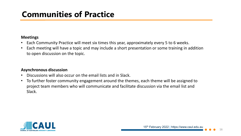### **Communities of Practice**

#### **Meetings**

- Each Community Practice will meet six times this year, approximately every 5 to 6 weeks.
- Each meeting will have a topic and may include a short presentation or some training in addition to open discussion on the topic.

#### **Asynchronous discussion**

- Discussions will also occur on the email lists and in Slack.
- To further foster community engagement around the themes, each theme will be assigned to project team members who will communicate and facilitate discussion via the email list and Slack.

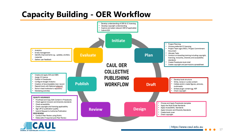#### **Capacity Building - OER Workflow**



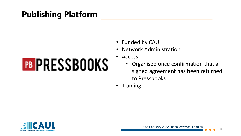### **Publishing Platform**

# **PB PRESSBOOKS**

- Funded by CAUL
- Network Administration
- Access
	- **Organised once confirmation that a** signed agreement has been returned to Pressbooks
- Training

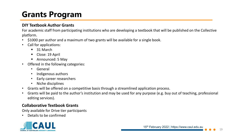### **Grants Program**

#### **DIY Textbook Author Grants**

For academic staff from participating institutions who are developing a textbook that will be published on the Collective platform.

- \$1000 per author and a maximum of two grants will be available for a single book.
- Call for applications:
	- 31 March
	- Close: 19 April
	- Announced: 5 May
- Offered in the following categories:
	- General
	- Indigenous authors
	- Early career researchers
	- Niche disciplines
- Grants will be offered on a competitive basis through a streamlined application process.
- Grants will be paid to the author's institution and may be used for any purpose (e.g. buy out of teaching, professional editing services).

#### **Collaborative Textbook Grants**

Only available for Drive tier participants

• Details to be confirmed

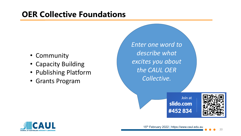#### **OER Collective Foundations**

- Community
- Capacity Building
- Publishing Platform
- Grants Program

*Enter one word to describe what excites you about the CAUL OER Collective.* 

> Join at slido.com #452 834



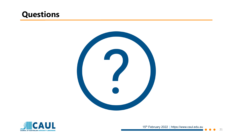#### **Questions**





15<sup>th</sup> February 2022 | https://www.caul.edu.au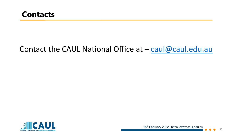#### Contact the CAUL National Office at  $-$  [caul@caul.edu.au](mailto:caul@caul.edu.au)